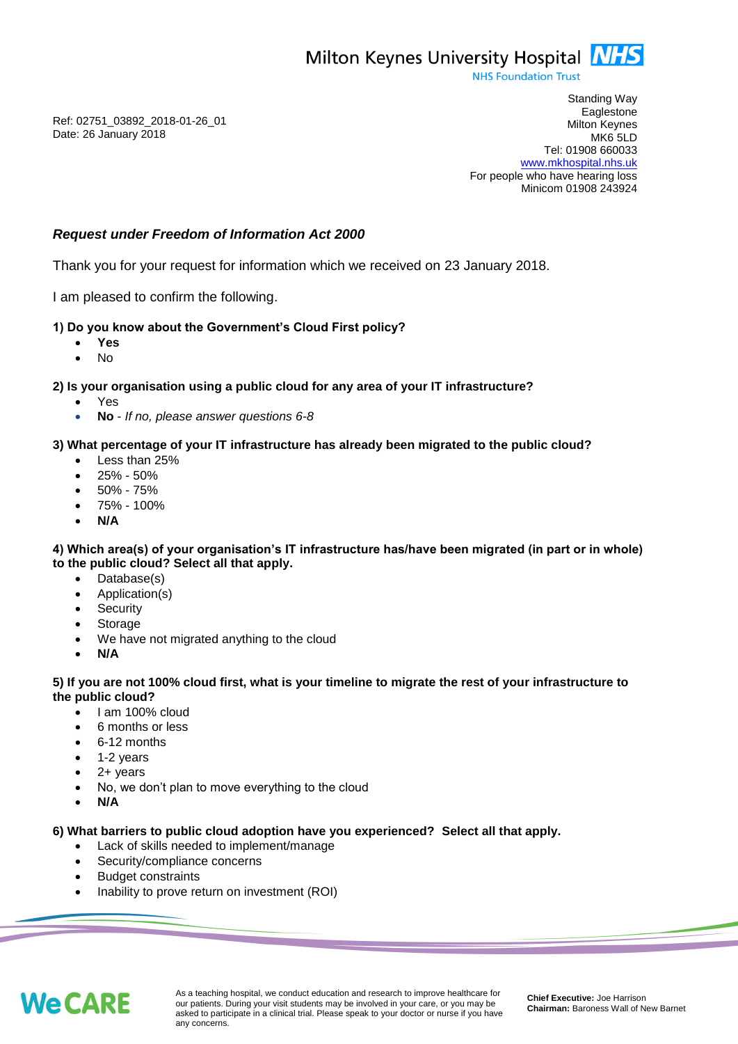**NHS Foundation Trust** 

Ref: 02751\_03892\_2018-01-26\_01 Date: 26 January 2018

Standing Way **Eaglestone** Milton Keynes MK6 5LD Tel: 01908 660033 [www.mkhospital.nhs.uk](http://www.mkhospital.nhs.uk/) For people who have hearing loss Minicom 01908 243924

# *Request under Freedom of Information Act 2000*

Thank you for your request for information which we received on 23 January 2018.

I am pleased to confirm the following.

# **1) Do you know about the Government's Cloud First policy?**

- **Yes**
- No

### **2) Is your organisation using a public cloud for any area of your IT infrastructure?**

- Yes
- **No** *If no, please answer questions 6-8*

# **3) What percentage of your IT infrastructure has already been migrated to the public cloud?**

- Less than 25%
- 25% 50%
- 50% 75%
- 75% 100%
- **N/A**

### **4) Which area(s) of your organisation's IT infrastructure has/have been migrated (in part or in whole) to the public cloud? Select all that apply.**

- Database(s)
- Application(s)
- **Security**
- Storage
- We have not migrated anything to the cloud
- **N/A**

#### **5) If you are not 100% cloud first, what is your timeline to migrate the rest of your infrastructure to the public cloud?**

- I am 100% cloud
- 6 months or less
- 6-12 months
- 1-2 years
- 2+ years
- No, we don't plan to move everything to the cloud
- **N/A**

### **6) What barriers to public cloud adoption have you experienced? Select all that apply.**

- Lack of skills needed to implement/manage
- Security/compliance concerns
- Budget constraints
- Inability to prove return on investment (ROI)



As a teaching hospital, we conduct education and research to improve healthcare for our patients. During your visit students may be involved in your care, or you may be asked to participate in a clinical trial. Please speak to your doctor or nurse if you have any concerns.